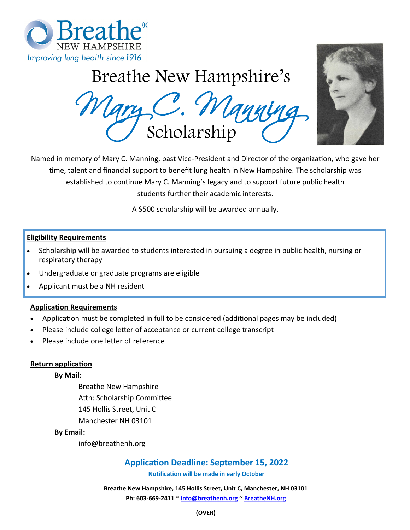

# Breathe New Hampshire's

Mary C. Manning Scholarship



Named in memory of Mary C. Manning, past Vice-President and Director of the organization, who gave her time, talent and financial support to benefit lung health in New Hampshire. The scholarship was established to continue Mary C. Manning's legacy and to support future public health students further their academic interests.

A \$500 scholarship will be awarded annually.

#### **Eligibility Requirements**

- Scholarship will be awarded to students interested in pursuing a degree in public health, nursing or respiratory therapy
- Undergraduate or graduate programs are eligible
- Applicant must be a NH resident

### **Application Requirements**

- Application must be completed in full to be considered (additional pages may be included)
- Please include college letter of acceptance or current college transcript
- Please include one letter of reference

#### **Return application**

#### **By Mail:**

Breathe New Hampshire Attn: Scholarship Committee 145 Hollis Street, Unit C Manchester NH 03101

#### **By Email:**

info@breathenh.org

## **Application Deadline: September 15, 2022**

**Notification will be made in early October**

**Breathe New Hampshire, 145 Hollis Street, Unit C, Manchester, NH 03101 Ph: 603-669-2411 ~ [info@breathenh.or](mailto:info@breathenh.org)g [~ B](file://///bnhsrv/data/DEVELOPMENT/Events/Eager%20Breather)[reatheNH.org](mailto:info@breathenh.org)**